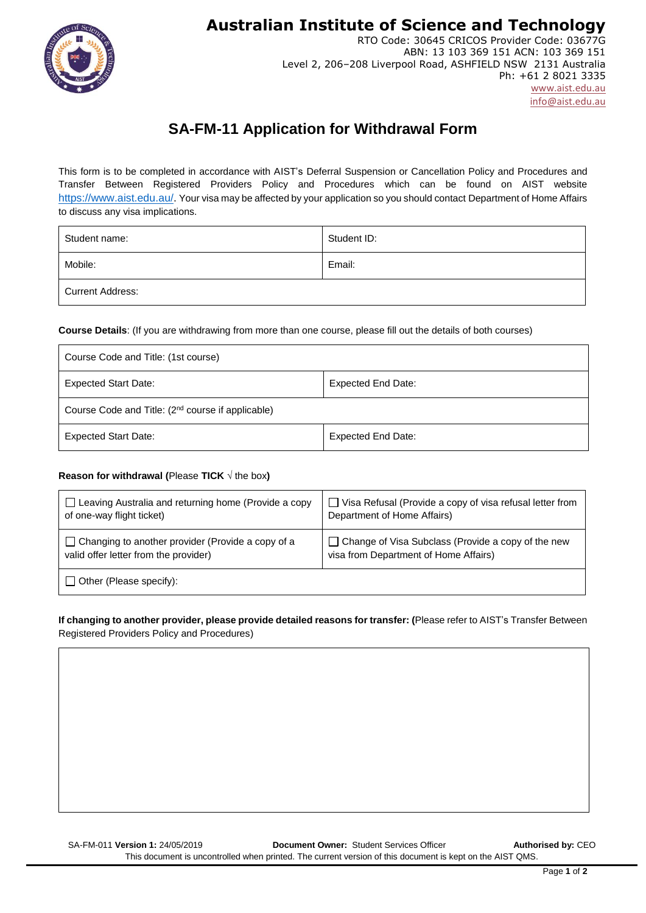**Australian Institute of Science and Technology**



RTO Code: 30645 CRICOS Provider Code: 03677G ABN: 13 103 369 151 ACN: 103 369 151 Level 2, 206–208 Liverpool Road, ASHFIELD NSW 2131 Australia Ph: +61 2 8021 3335 [www.aist.edu.au](http://www.aist.edu.au/)  [info@aist.edu.au](mailto:info@aist.edu.au)

# **SA-FM-11 Application for Withdrawal Form**

This form is to be completed in accordance with AIST's Deferral Suspension or Cancellation Policy and Procedures and Transfer Between Registered Providers Policy and Procedures which can be found on AIST website [https://www.aist.edu.au/.](https://www.aist.edu.au/) Your visa may be affected by your application so you should contact Department of Home Affairs to discuss any visa implications.

| Student name:    | Student ID: |
|------------------|-------------|
| Mobile:          | Email:      |
| Current Address: |             |

**Course Details**: (If you are withdrawing from more than one course, please fill out the details of both courses)

| Course Code and Title: (1st course)                           |                           |  |
|---------------------------------------------------------------|---------------------------|--|
| <b>Expected Start Date:</b>                                   | Expected End Date:        |  |
| Course Code and Title: (2 <sup>nd</sup> course if applicable) |                           |  |
| <b>Expected Start Date:</b>                                   | <b>Expected End Date:</b> |  |

## **Reason for withdrawal (**Please **TICK** √ the box**)**

| $\Box$ Leaving Australia and returning home (Provide a copy | $\Box$ Visa Refusal (Provide a copy of visa refusal letter from |
|-------------------------------------------------------------|-----------------------------------------------------------------|
| of one-way flight ticket)                                   | Department of Home Affairs)                                     |
| $\Box$ Changing to another provider (Provide a copy of a    | Change of Visa Subclass (Provide a copy of the new              |
| valid offer letter from the provider)                       | visa from Department of Home Affairs)                           |
| $\Box$ Other (Please specify):                              |                                                                 |

## **If changing to another provider, please provide detailed reasons for transfer: (**Please refer to AIST's Transfer Between Registered Providers Policy and Procedures)